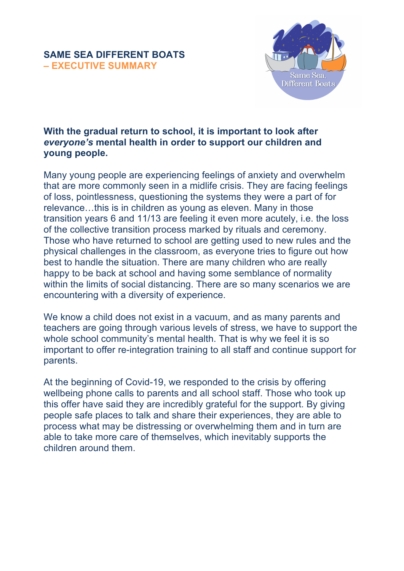## **SAME SEA DIFFERENT BOATS – EXECUTIVE SUMMARY**



## **With the gradual return to school, it is important to look after**  *everyone's* **mental health in order to support our children and young people.**

Many young people are experiencing feelings of anxiety and overwhelm that are more commonly seen in a midlife crisis. They are facing feelings of loss, pointlessness, questioning the systems they were a part of for relevance…this is in children as young as eleven. Many in those transition years 6 and 11/13 are feeling it even more acutely, i.e. the loss of the collective transition process marked by rituals and ceremony. Those who have returned to school are getting used to new rules and the physical challenges in the classroom, as everyone tries to figure out how best to handle the situation. There are many children who are really happy to be back at school and having some semblance of normality within the limits of social distancing. There are so many scenarios we are encountering with a diversity of experience.

We know a child does not exist in a vacuum, and as many parents and teachers are going through various levels of stress, we have to support the whole school community's mental health. That is why we feel it is so important to offer re-integration training to all staff and continue support for parents.

At the beginning of Covid-19, we responded to the crisis by offering wellbeing phone calls to parents and all school staff. Those who took up this offer have said they are incredibly grateful for the support. By giving people safe places to talk and share their experiences, they are able to process what may be distressing or overwhelming them and in turn are able to take more care of themselves, which inevitably supports the children around them.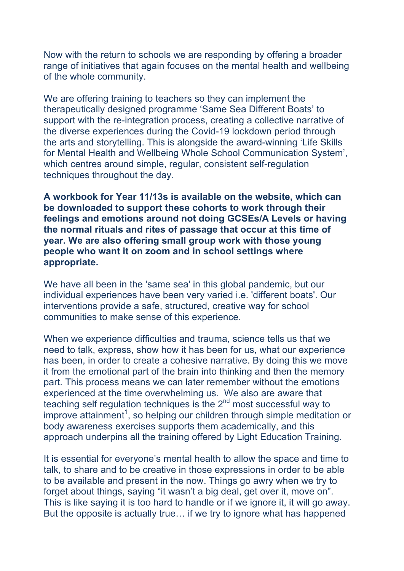Now with the return to schools we are responding by offering a broader range of initiatives that again focuses on the mental health and wellbeing of the whole community.

We are offering training to teachers so they can implement the therapeutically designed programme 'Same Sea Different Boats' to support with the re-integration process, creating a collective narrative of the diverse experiences during the Covid-19 lockdown period through the arts and storytelling. This is alongside the award-winning 'Life Skills for Mental Health and Wellbeing Whole School Communication System', which centres around simple, regular, consistent self-regulation techniques throughout the day.

**A workbook for Year 11/13s is available on the website, which can be downloaded to support these cohorts to work through their feelings and emotions around not doing GCSEs/A Levels or having the normal rituals and rites of passage that occur at this time of year. We are also offering small group work with those young people who want it on zoom and in school settings where appropriate.**

We have all been in the 'same sea' in this global pandemic, but our individual experiences have been very varied i.e. 'different boats'. Our interventions provide a safe, structured, creative way for school communities to make sense of this experience.

When we experience difficulties and trauma, science tells us that we need to talk, express, show how it has been for us, what our experience has been, in order to create a cohesive narrative. By doing this we move it from the emotional part of the brain into thinking and then the memory part. This process means we can later remember without the emotions experienced at the time overwhelming us. We also are aware that teaching self regulation techniques is the 2<sup>nd</sup> most successful way to improve attainment<sup>1</sup>, so helping our children through simple meditation or body awareness exercises supports them academically, and this approach underpins all the training offered by Light Education Training.

It is essential for everyone's mental health to allow the space and time to talk, to share and to be creative in those expressions in order to be able to be available and present in the now. Things go awry when we try to forget about things, saying "it wasn't a big deal, get over it, move on". This is like saying it is too hard to handle or if we ignore it, it will go away. But the opposite is actually true… if we try to ignore what has happened